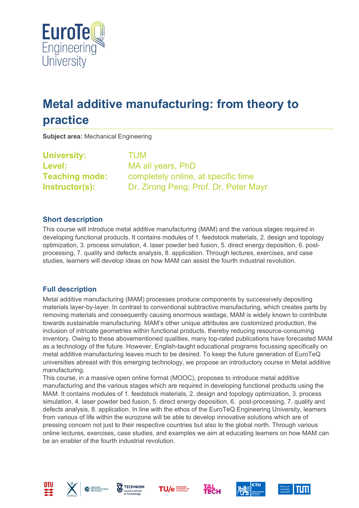

# **Metal additive manufacturing: from theory to practice**

**Subject area:** Mechanical Engineering

**University:** TUM **Level:** MA all years, PhD

**Teaching mode:** completely online, at specific time **Instructor(s):** Dr. Zirong Peng; Prof. Dr. Peter Mayr

# **Short description**

This course will introduce metal additive manufacturing (MAM) and the various stages required in developing functional products. It contains modules of 1. feedstock materials, 2. design and topology optimization, 3. process simulation, 4. laser powder bed fusion, 5. direct energy deposition, 6. postprocessing, 7. quality and defects analysis, 8. application. Through lectures, exercises, and case studies, learners will develop ideas on how MAM can assist the fourth industrial revolution.

# **Full description**

Metal additive manufacturing (MAM) processes produce components by successively depositing materials layer-by-layer. In contrast to conventional subtractive manufacturing, which creates parts by removing materials and consequently causing enormous wastage, MAM is widely known to contribute towards sustainable manufacturing. MAM's other unique attributes are customized production, the inclusion of intricate geometries within functional products, thereby reducing resource-consuming inventory. Owing to these abovementioned qualities, many top-rated publications have forecasted MAM as a technology of the future. However, English-taught educational programs focussing specifically on metal additive manufacturing leaves much to be desired. To keep the future generation of EuroTeQ universities abreast with this emerging technology, we propose an introductory course in Metal additive manufacturing.

This course, in a massive open online format (MOOC), proposes to introduce metal additive manufacturing and the various stages which are required in developing functional products using the MAM. It contains modules of 1. feedstock materials, 2. design and topology optimization, 3. process simulation, 4. laser powder bed fusion, 5. direct energy deposition, 6. post-processing, 7. quality and defects analysis, 8. application. In line with the ethos of the EuroTeQ Engineering University, learners from various of life within the eurozone will be able to develop innovative solutions which are of pressing concern not just to their respective countries but also to the global north. Through various online lectures, exercises, case studies, and examples we aim at educating learners on how MAM can be an enabler of the fourth industrial revolution.













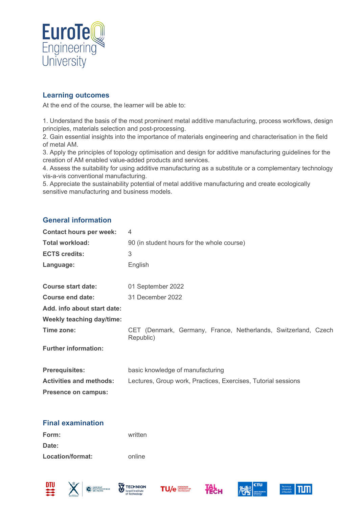

### **Learning outcomes**

At the end of the course, the learner will be able to:

1. Understand the basis of the most prominent metal additive manufacturing, process workflows, design principles, materials selection and post-processing.

2. Gain essential insights into the importance of materials engineering and characterisation in the field of metal AM.

3. Apply the principles of topology optimisation and design for additive manufacturing guidelines for the creation of AM enabled value-added products and services.

4. Assess the suitability for using additive manufacturing as a substitute or a complementary technology vis-a-vis conventional manufacturing.

5. Appreciate the sustainability potential of metal additive manufacturing and create ecologically sensitive manufacturing and business models.

#### **General information**

| <b>Contact hours per week:</b> | 4                                                                           |  |
|--------------------------------|-----------------------------------------------------------------------------|--|
| <b>Total workload:</b>         | 90 (in student hours for the whole course)                                  |  |
| <b>ECTS credits:</b>           | 3                                                                           |  |
| Language:                      | English                                                                     |  |
|                                |                                                                             |  |
| <b>Course start date:</b>      | 01 September 2022                                                           |  |
| Course end date:               | 31 December 2022                                                            |  |
| Add. info about start date:    |                                                                             |  |
| Weekly teaching day/time:      |                                                                             |  |
| Time zone:                     | CET (Denmark, Germany, France, Netherlands, Switzerland, Czech<br>Republic) |  |
| <b>Further information:</b>    |                                                                             |  |
| <b>Prerequisites:</b>          | basic knowledge of manufacturing                                            |  |
| <b>Activities and methods:</b> | Lectures, Group work, Practices, Exercises, Tutorial sessions               |  |
| Presence on campus:            |                                                                             |  |

#### **Final examination**

| Form:            | written |
|------------------|---------|
| Date:            |         |
| Location/format: | online  |